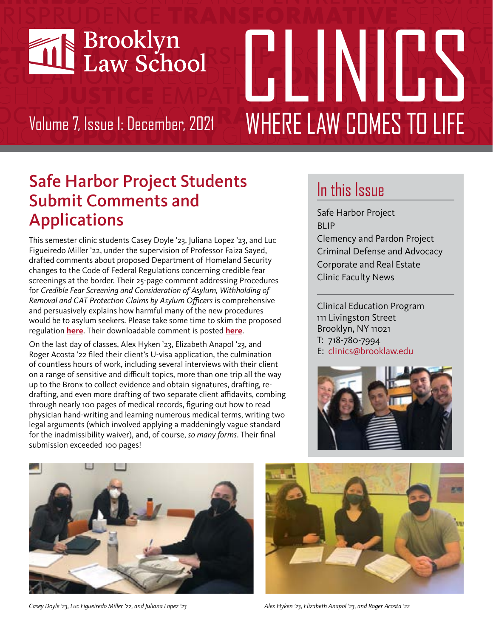

# **FIRENTINAS** Volume 7, Issue 1: December, 2021 **WHERE LAW COMES TO LIFE**

## Safe Harbor Project Students Submit Comments and Applications

This semester clinic students Casey Doyle '23, Juliana Lopez '23, and Luc Figueiredo Miller '22, under the supervision of Professor Faiza Sayed, drafted comments about proposed Department of Homeland Security changes to the Code of Federal Regulations concerning credible fear screenings at the border. Their 25-page comment addressing Procedures for *Credible Fear Screening and Consideration of Asylum, Withholding of Removal and CAT Protection Claims by Asylum Officers* is comprehensive and persuasively explains how harmful many of the new procedures would be to asylum seekers. Please take some time to skim the proposed regulation **[here](https://www.federalregister.gov/documents/2021/08/20/2021-17779/procedures-for-credible-fear-screening-and-consideration-of-asylum-withholding-of-removal-and-cat)**. Their downloadable comment is posted **[here](https://www.regulations.gov/comment/USCIS-2021-0012-4736)**.

On the last day of classes, Alex Hyken '23, Elizabeth Anapol '23, and Roger Acosta '22 filed their client's U-visa application, the culmination of countless hours of work, including several interviews with their client on a range of sensitive and difficult topics, more than one trip all the way up to the Bronx to collect evidence and obtain signatures, drafting, redrafting, and even more drafting of two separate client affidavits, combing through nearly 100 pages of medical records, figuring out how to read physician hand-writing and learning numerous medical terms, writing two legal arguments (which involved applying a maddeningly vague standard for the inadmissibility waiver), and, of course, *so many forms*. Their final submission exceeded 100 pages!

# In this Issue

Safe Harbor Project BLIP Clemency and Pardon Project Criminal Defense and Advocacy Corporate and Real Estate Clinic Faculty News

Clinical Education Program 111 Livingston Street Brooklyn, NY 11021 T: 718-780-7994 E: clinics@brooklaw.edu





*Casey Doyle '23, Luc Figueiredo Miller '22, and Juliana Lopez '23 Alex Hyken '23, Elizabeth Anapol '23, and Roger Acosta '22*

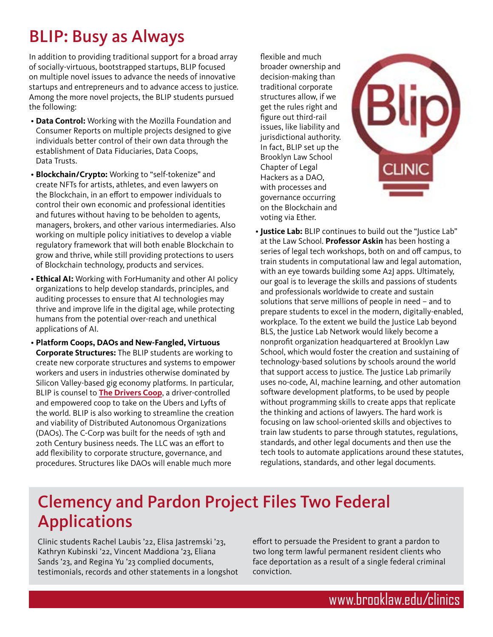# BLIP: Busy as Always

In addition to providing traditional support for a broad array of socially-virtuous, bootstrapped startups, BLIP focused on multiple novel issues to advance the needs of innovative startups and entrepreneurs and to advance access to justice. Among the more novel projects, the BLIP students pursued the following:

- **Data Control:** Working with the Mozilla Foundation and Consumer Reports on multiple projects designed to give individuals better control of their own data through the establishment of Data Fiduciaries, Data Coops, Data Trusts.
- **Blockchain/Crypto:** Working to "self-tokenize" and create NFTs for artists, athletes, and even lawyers on the Blockchain, in an effort to empower individuals to control their own economic and professional identities and futures without having to be beholden to agents, managers, brokers, and other various intermediaries. Also working on multiple policy initiatives to develop a viable regulatory framework that will both enable Blockchain to grow and thrive, while still providing protections to users of Blockchain technology, products and services.
- **Ethical AI:** Working with ForHumanity and other AI policy organizations to help develop standards, principles, and auditing processes to ensure that AI technologies may thrive and improve life in the digital age, while protecting humans from the potential over-reach and unethical applications of AI.
- **Platform Coops, DAOs and New-Fangled, Virtuous Corporate Structures:** The BLIP students are working to create new corporate structures and systems to empower workers and users in industries otherwise dominated by Silicon Valley-based gig economy platforms. In particular, BLIP is counsel to **[The Drivers Coop](https://inthesetimes.com/article/new-york-city-drivers-cooperative-uber-lyft)**, a driver-controlled and empowered coop to take on the Ubers and Lyfts of the world. BLIP is also working to streamline the creation and viability of Distributed Autonomous Organizations (DAOs). The C-Corp was built for the needs of 19th and 20th Century business needs. The LLC was an effort to add flexibility to corporate structure, governance, and procedures. Structures like DAOs will enable much more

flexible and much broader ownership and decision-making than traditional corporate structures allow, if we get the rules right and figure out third-rail issues, like liability and jurisdictional authority. In fact, BLIP set up the Brooklyn Law School Chapter of Legal Hackers as a DAO, with processes and governance occurring on the Blockchain and voting via Ether.



 • **Justice Lab:** BLIP continues to build out the "Justice Lab" at the Law School. **Professor Askin** has been hosting a series of legal tech workshops, both on and off campus, to train students in computational law and legal automation, with an eye towards building some A2J apps. Ultimately, our goal is to leverage the skills and passions of students and professionals worldwide to create and sustain solutions that serve millions of people in need – and to prepare students to excel in the modern, digitally-enabled, workplace. To the extent we build the Justice Lab beyond BLS, the Justice Lab Network would likely become a nonprofit organization headquartered at Brooklyn Law School, which would foster the creation and sustaining of technology-based solutions by schools around the world that support access to justice. The Justice Lab primarily uses no-code, AI, machine learning, and other automation software development platforms, to be used by people without programming skills to create apps that replicate the thinking and actions of lawyers. The hard work is focusing on law school-oriented skills and objectives to train law students to parse through statutes, regulations, standards, and other legal documents and then use the tech tools to automate applications around these statutes, regulations, standards, and other legal documents.

## Clemency and Pardon Project Files Two Federal Applications

Clinic students Rachel Laubis '22, Elisa Jastremski '23, Kathryn Kubinski '22, Vincent Maddiona '23, Eliana Sands '23, and Regina Yu '23 complied documents, testimonials, records and other statements in a longshot effort to persuade the President to grant a pardon to two long term lawful permanent resident clients who face deportation as a result of a single federal criminal conviction.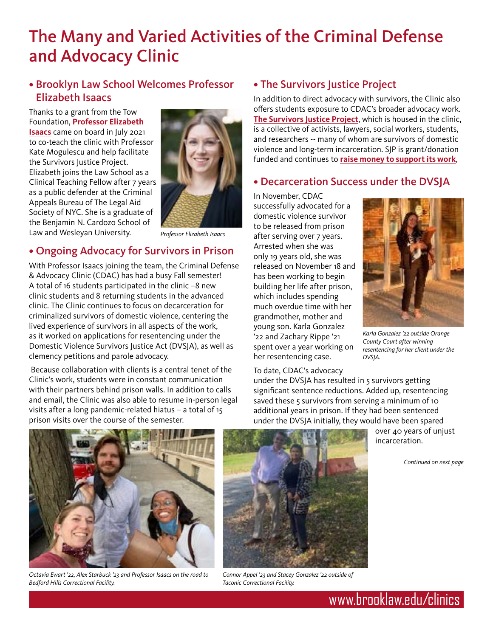## The Many and Varied Activities of the Criminal Defense and Advocacy Clinic

#### • Brooklyn Law School Welcomes Professor Elizabeth Isaacs

Thanks to a grant from the Tow Foundation, **[Professor Elizabeth](https://inthesetimes.com/article/new-york-city-drivers-cooperative-uber-lyft)  [Isaacs](https://inthesetimes.com/article/new-york-city-drivers-cooperative-uber-lyft)** came on board in July 2021 to co-teach the clinic with Professor Kate Mogulescu and help facilitate the Survivors Justice Project. Elizabeth joins the Law School as a Clinical Teaching Fellow after 7 years as a public defender at the Criminal Appeals Bureau of The Legal Aid Society of NYC. She is a graduate of the Benjamin N. Cardozo School of Law and Wesleyan University.



*Professor Elizabeth Isaacs*

#### • Ongoing Advocacy for Survivors in Prison

With Professor Isaacs joining the team, the Criminal Defense & Advocacy Clinic (CDAC) has had a busy Fall semester! A total of 16 students participated in the clinic –8 new clinic students and 8 returning students in the advanced clinic. The Clinic continues to focus on decarceration for criminalized survivors of domestic violence, centering the lived experience of survivors in all aspects of the work, as it worked on applications for resentencing under the Domestic Violence Survivors Justice Act (DVSJA), as well as clemency petitions and parole advocacy.

 Because collaboration with clients is a central tenet of the Clinic's work, students were in constant communication with their partners behind prison walls. In addition to calls and email, the Clinic was also able to resume in-person legal visits after a long pandemic-related hiatus – a total of 15 prison visits over the course of the semester.

#### • The Survivors Justice Project

In addition to direct advocacy with survivors, the Clinic also offers students exposure to CDAC's broader advocacy work. **[The Survivors Justice Project](https://www.sjpny.org)**, which is housed in the clinic, is a collective of activists, lawyers, social workers, students, and researchers -- many of whom are survivors of domestic violence and long-term incarceration. SJP is grant/donation funded and continues to **[raise money to support its work](https://securelb.imodules.com/s/1286/18/interior-wide.aspx?authkey=Gksb2zy5wdESuum4BTJQVClZJDSQG2pna0kn53xr4Nbi2CGGA%2bD4pQ%3d%3d&bledit=1&cid=4673&dids=35&gid=1&pgid=3342&sid=1286)**,

#### • Decarceration Success under the DVSJA

In November, CDAC successfully advocated for a domestic violence survivor to be released from prison after serving over 7 years. Arrested when she was only 19 years old, she was released on November 18 and has been working to begin building her life after prison, which includes spending much overdue time with her grandmother, mother and young son. Karla Gonzalez '22 and Zachary Rippe '21 spent over a year working on her resentencing case.



*Karla Gonzalez '22 outside Orange County Court after winning resentencing for her client under the DVSJA.*

#### To date, CDAC's advocacy

under the DVSJA has resulted in 5 survivors getting significant sentence reductions. Added up, resentencing saved these 5 survivors from serving a minimum of 10 additional years in prison. If they had been sentenced under the DVSJA initially, they would have been spared

over 40 years of unjust incarceration.

*Continued on next page*



*Octavia Ewart '22, Alex Starbuck '23 and Professor Isaacs on the road to Bedford Hills Correctional Facility.* 



*Connor Appel '23 and Stacey Gonzalez '22 outside of Taconic Correctional Facility.*

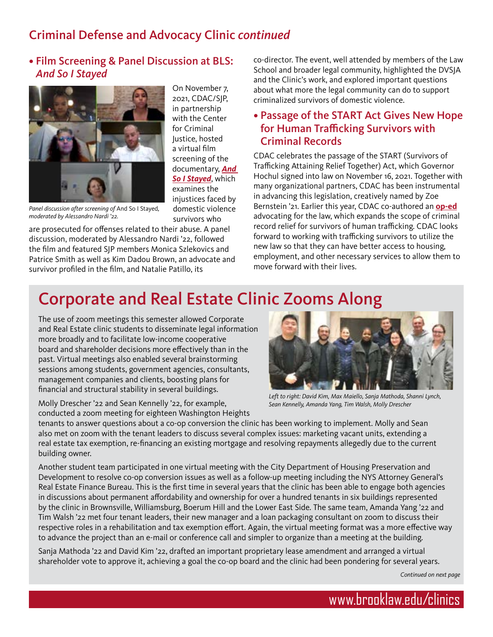## Criminal Defense and Advocacy Clinic *continued*

#### • Film Screening & Panel Discussion at BLS: *And So I Stayed*



On November 7, 2021, CDAC/SJP, in partnership with the Center for Criminal Justice, hosted a virtual film screening of the documentary, *[And](https://www.brooklaw.edu/News-and-Events/Events/2021/2021_11_04)  [So I Stayed](https://www.brooklaw.edu/News-and-Events/Events/2021/2021_11_04)*, which examines the injustices faced by domestic violence survivors who

*Panel discussion after screening of* And So I Stayed*, moderated by Alessandro Nardi '22.*

are prosecuted for offenses related to their abuse. A panel discussion, moderated by Alessandro Nardi '22, followed the film and featured SJP members Monica Szlekovics and Patrice Smith as well as Kim Dadou Brown, an advocate and survivor profiled in the film, and Natalie Patillo, its

co-director. The event, well attended by members of the Law School and broader legal community, highlighted the DVSJA and the Clinic's work, and explored important questions about what more the legal community can do to support criminalized survivors of domestic violence.

#### • Passage of the START Act Gives New Hope for Human Trafficking Survivors with Criminal Records

CDAC celebrates the passage of the START (Survivors of Trafficking Attaining Relief Together) Act, which Governor Hochul signed into law on November 16, 2021. Together with many organizational partners, CDAC has been instrumental in advancing this legislation, creatively named by Zoe Bernstein '21. Earlier this year, CDAC co-authored an **[op-ed](https://www.gothamgazette.com/opinion/10273-new-york-criminalized-trafficking-survivors-fresh-start)** advocating for the law, which expands the scope of criminal record relief for survivors of human trafficking. CDAC looks forward to working with trafficking survivors to utilize the new law so that they can have better access to housing, employment, and other necessary services to allow them to move forward with their lives.

## Corporate and Real Estate Clinic Zooms Along

The use of zoom meetings this semester allowed Corporate and Real Estate clinic students to disseminate legal information more broadly and to facilitate low-income cooperative board and shareholder decisions more effectively than in the past. Virtual meetings also enabled several brainstorming sessions among students, government agencies, consultants, management companies and clients, boosting plans for financial and structural stability in several buildings.

Molly Drescher '22 and Sean Kennelly '22, for example, conducted a zoom meeting for eighteen Washington Heights



*Left to right: David Kim, Max Maiello, Sanja Mathoda, Shanni Lynch, Sean Kennelly, Amanda Yang, Tim Walsh, Molly Drescher*

tenants to answer questions about a co-op conversion the clinic has been working to implement. Molly and Sean also met on zoom with the tenant leaders to discuss several complex issues: marketing vacant units, extending a real estate tax exemption, re-financing an existing mortgage and resolving repayments allegedly due to the current building owner.

Another student team participated in one virtual meeting with the City Department of Housing Preservation and Development to resolve co-op conversion issues as well as a follow-up meeting including the NYS Attorney General's Real Estate Finance Bureau. This is the first time in several years that the clinic has been able to engage both agencies in discussions about permanent affordability and ownership for over a hundred tenants in six buildings represented by the clinic in Brownsville, Williamsburg, Boerum Hill and the Lower East Side. The same team, Amanda Yang '22 and Tim Walsh '22 met four tenant leaders, their new manager and a loan packaging consultant on zoom to discuss their respective roles in a rehabilitation and tax exemption effort. Again, the virtual meeting format was a more effective way to advance the project than an e-mail or conference call and simpler to organize than a meeting at the building.

Sanja Mathoda '22 and David Kim '22, drafted an important proprietary lease amendment and arranged a virtual shareholder vote to approve it, achieving a goal the co-op board and the clinic had been pondering for several years.

*Continued on next page*